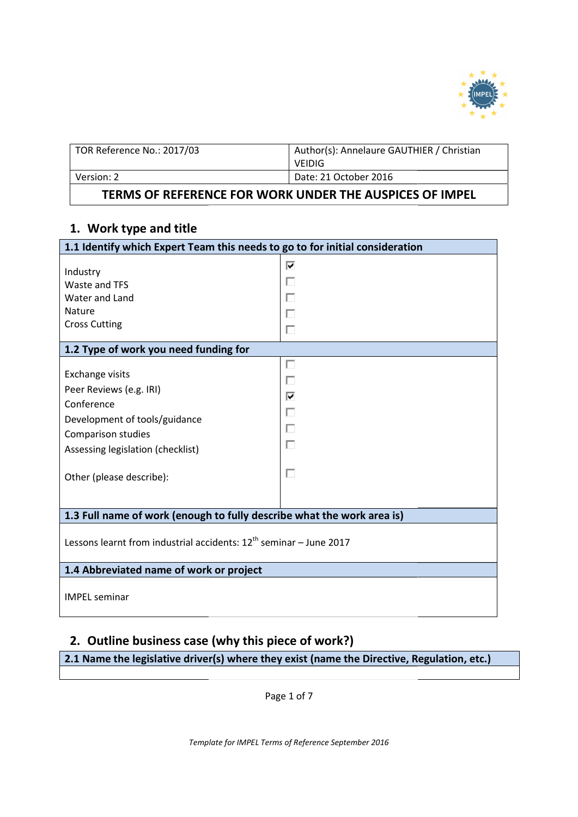

| TOR Reference No.: 2017/03 | Author(s): Annelaure GAUTHIER / Christian<br>VEIDIG |
|----------------------------|-----------------------------------------------------|
| Version: 2                 | Date: 21 October 2016                               |

## TERMS OF REFERENCE FOR WORK UNDER THE AUSPICES OF IMPEL

## 1. Work type and title

| 1.1 Identify which Expert Team this needs to go to for initial consideration                                                                                                            |                                 |  |
|-----------------------------------------------------------------------------------------------------------------------------------------------------------------------------------------|---------------------------------|--|
| Industry<br>Waste and TFS<br>Water and Land<br><b>Nature</b><br><b>Cross Cutting</b>                                                                                                    | Г<br>г<br>г<br>г<br>г           |  |
| 1.2 Type of work you need funding for                                                                                                                                                   |                                 |  |
| <b>Exchange visits</b><br>Peer Reviews (e.g. IRI)<br>Conference<br>Development of tools/guidance<br>Comparison studies<br>Assessing legislation (checklist)<br>Other (please describe): | П<br>г<br>╔<br>г<br>г<br>г<br>г |  |
| 1.3 Full name of work (enough to fully describe what the work area is)                                                                                                                  |                                 |  |
| Lessons learnt from industrial accidents: $12th$ seminar - June 2017                                                                                                                    |                                 |  |
| 1.4 Abbreviated name of work or project                                                                                                                                                 |                                 |  |
| <b>IMPEL</b> seminar                                                                                                                                                                    |                                 |  |

# 2. Outline business case (why this piece of work?)

2.1 Name the legislative driver(s) where they exist (name the Directive, Regulation, etc.)

Page 1 of 7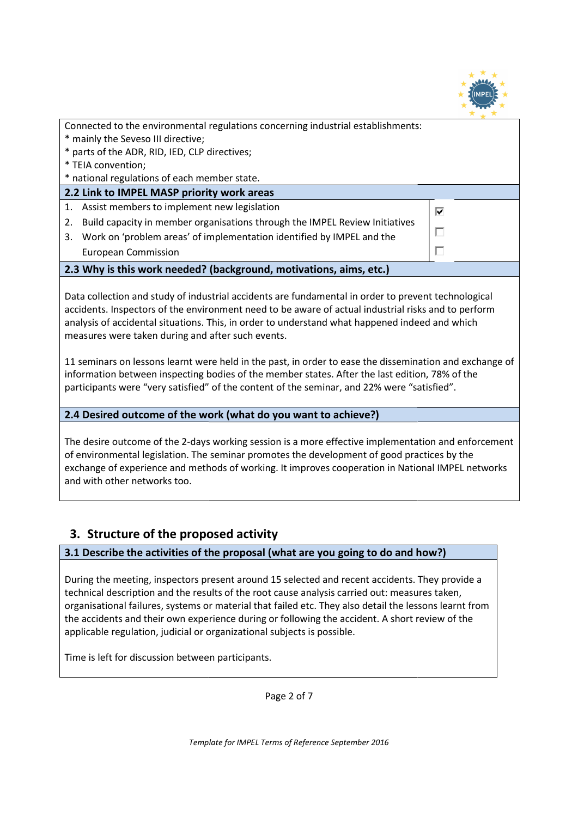

| Connected to the environmental regulations concerning industrial establishments: |   |  |
|----------------------------------------------------------------------------------|---|--|
| * mainly the Seveso III directive;                                               |   |  |
| * parts of the ADR, RID, IED, CLP directives;                                    |   |  |
| * TEIA convention;                                                               |   |  |
| * national regulations of each member state.                                     |   |  |
| 2.2 Link to IMPEL MASP priority work areas                                       |   |  |
| Assist members to implement new legislation<br>1.                                | ◸ |  |
| Build capacity in member organisations through the IMPEL Review Initiatives      |   |  |
| Work on 'problem areas' of implementation identified by IMPEL and the<br>3.      | ш |  |
| <b>European Commission</b>                                                       |   |  |
| 2.3 Why is this work needed? (background, motivations, aims, etc.)               |   |  |
|                                                                                  |   |  |

Data collection and study of industrial accidents are fundamental in order to prevent technological accidents. Inspectors of the environment need to be aware of actual industrial risks and to perform analysis of accidental situations. This, in order to understand what happened indeed and which measures were taken during and after such events.

11 seminars on lessons learnt were held in the past, in order to ease the dissemination and exchange of information between inspecting bodies of the member states. After the last edition, 78% of the participants were "very satisfied" of the content of the seminar, and 22% were "satisfied". accidents. Inspectors of the environment need to be aware of actual industrial risks and to perform<br>analysis of accidental situations. This, in order to understand what happened indeed and which<br>measures were taken during

#### 2.4 Desired outcome of the work (what do you want to achieve?)

The desire outcome of the 2-days working session is a more effective implementation and enforcement of environmental legislation. The seminar promotes the development of good practices by the exchange of experience and methods of working. It improves cooperation in National IMPEL networks and with other networks too.

# 3. Structure of the proposed activity

## 3.1 Describe the activities of the proposal (what are you going to do and how?)

During the meeting, inspectors present around 15 selected and recent accidents. They provide a technical description and the results of the root cause analysis carried out: measures taken, organisational failures, systems or material that failed etc. They also detail the lessons learnt from the accidents and their own experience during or following the accident. A short review of the applicable regulation, judicial or organizational subjects is possible. During the meeting, inspectors present around 15 selected and recent accidents. They provechnical description and the results of the root cause analysis carried out: measures taken organisational failures, systems or mater

Time is left for discussion between participants.

Page 2 of 7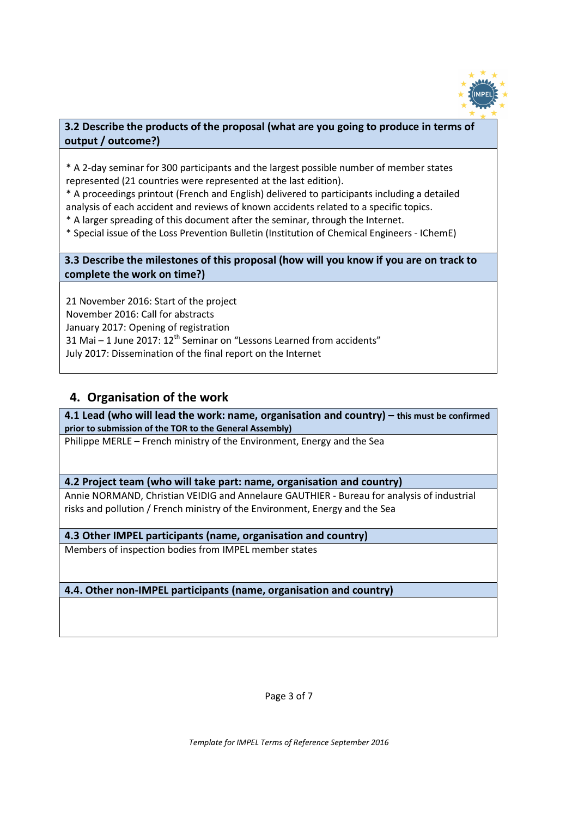

### 3.2 Describe the products of the proposal (what are you going to produce in terms of output / outcome?)

\* A 2-day seminar for 300 participants and the largest possible number of member states represented (21 countries were represented at the last edition).

\* A proceedings printout (French and English) delivered to participants including a detailed analysis of each accident and reviews of known accidents related to a specific topics.

\* A larger spreading of this document after the seminar, through the Internet.

\* Special issue of the Loss Prevention Bulletin (Institution of Chemical Engineers - IChemE)

3.3 Describe the milestones of this proposal (how will you know if you are on track to complete the work on time?)

21 November 2016: Start of the project November 2016: Call for abstracts January 2017: Opening of registration 31 Mai – 1 June 2017:  $12^{th}$  Seminar on "Lessons Learned from accidents" July 2017: Dissemination of the final report on the Internet

## 4. Organisation of the work

4.1 Lead (who will lead the work: name, organisation and country) – this must be confirmed prior to submission of the TOR to the General Assembly)

Philippe MERLE – French ministry of the Environment, Energy and the Sea

#### 4.2 Project team (who will take part: name, organisation and country)

Annie NORMAND, Christian VEIDIG and Annelaure GAUTHIER - Bureau for analysis of industrial risks and pollution / French ministry of the Environment, Energy and the Sea

4.3 Other IMPEL participants (name, organisation and country)

Members of inspection bodies from IMPEL member states

4.4. Other non-IMPEL participants (name, organisation and country)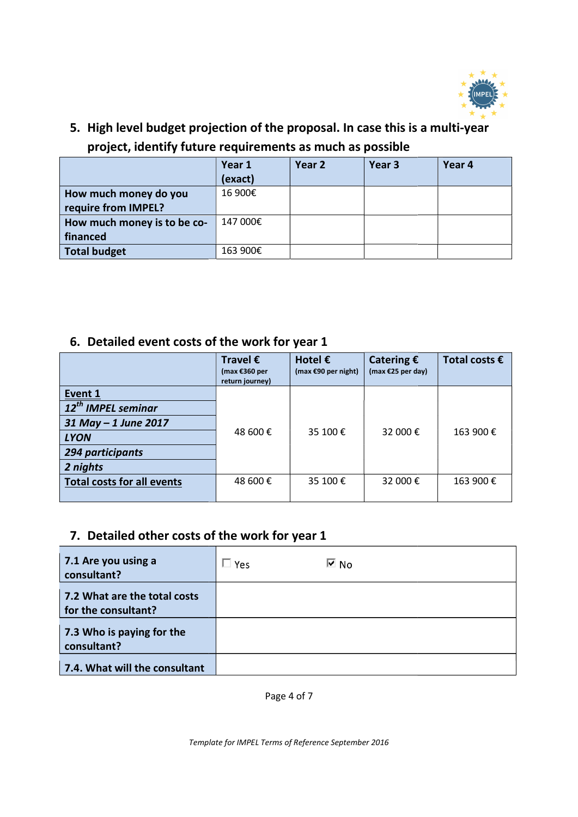

|                             | Year 1<br>(exact) | Year <sub>2</sub> | Year <sub>3</sub> | Year 4 |
|-----------------------------|-------------------|-------------------|-------------------|--------|
| How much money do you       | 16 900€           |                   |                   |        |
| require from IMPEL?         |                   |                   |                   |        |
| How much money is to be co- | 147 000€          |                   |                   |        |
| financed                    |                   |                   |                   |        |
| <b>Total budget</b>         | 163 900€          |                   |                   |        |

# 6. Detailed event costs of the work for year 1

|                                                                                                                            | Year 1                           | Year <sub>2</sub>                       | Year <sub>3</sub>                        | Year 4                 |
|----------------------------------------------------------------------------------------------------------------------------|----------------------------------|-----------------------------------------|------------------------------------------|------------------------|
|                                                                                                                            | (exact)                          |                                         |                                          |                        |
| How much money do you                                                                                                      | 16 900€                          |                                         |                                          |                        |
| require from IMPEL?                                                                                                        |                                  |                                         |                                          |                        |
| How much money is to be co-                                                                                                | 147 000€                         |                                         |                                          |                        |
| financed                                                                                                                   | 163 900€                         |                                         |                                          |                        |
| <b>Total budget</b>                                                                                                        |                                  |                                         |                                          |                        |
|                                                                                                                            |                                  |                                         |                                          |                        |
| 6. Detailed event costs of the work for year 1                                                                             | <b>Travel €</b><br>(max €360 per | Hotel $\epsilon$<br>(max €90 per night) | Catering $\epsilon$<br>(max €25 per day) | Total costs $\epsilon$ |
|                                                                                                                            | return journey)                  |                                         |                                          |                        |
|                                                                                                                            |                                  |                                         |                                          |                        |
|                                                                                                                            |                                  |                                         |                                          |                        |
|                                                                                                                            |                                  |                                         |                                          |                        |
|                                                                                                                            | 48 600€                          | 35 100€                                 | 32 000€                                  | 163 900 €              |
|                                                                                                                            |                                  |                                         |                                          |                        |
| <b>Event 1</b><br>12 <sup>th</sup> IMPEL seminar<br>$31$ May $-1$ June 2017<br><b>LYON</b><br>294 participants<br>2 nights |                                  |                                         |                                          |                        |
| <b>Total costs for all events</b>                                                                                          | 48 600€                          | 35 100€                                 | 32 000€                                  | 163 900€               |

# 7. Detailed other costs of the work for year 1

| $\vert$ 7.1 Are you using a<br>consultant?          | Yes | $\overline{\triangleright}$ No |
|-----------------------------------------------------|-----|--------------------------------|
| 7.2 What are the total costs<br>for the consultant? |     |                                |
| 7.3 Who is paying for the<br>consultant?            |     |                                |
| 7.4. What will the consultant                       |     |                                |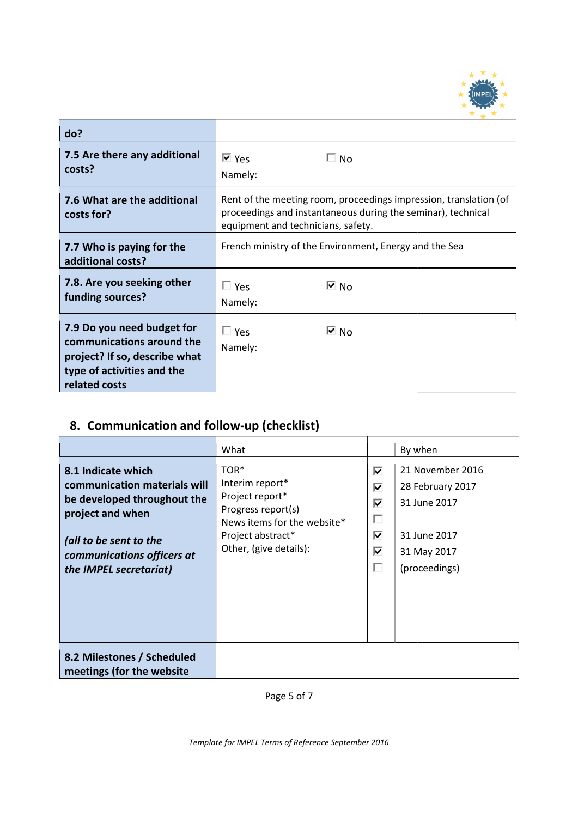

| do?                                                                                                                                     |                                                                                                                                                                         |
|-----------------------------------------------------------------------------------------------------------------------------------------|-------------------------------------------------------------------------------------------------------------------------------------------------------------------------|
| 7.5 Are there any additional<br>costs?                                                                                                  | $\overline{M}$ Yes<br>□ No<br>Namely:                                                                                                                                   |
| 7.6 What are the additional<br>costs for?                                                                                               | Rent of the meeting room, proceedings impression, translation (of<br>proceedings and instantaneous during the seminar), technical<br>equipment and technicians, safety. |
| 7.7 Who is paying for the<br>additional costs?                                                                                          | French ministry of the Environment, Energy and the Sea                                                                                                                  |
| 7.8. Are you seeking other<br>funding sources?                                                                                          | $\overline{\triangleright}$ No<br>$\Box$ Yes<br>Namely:                                                                                                                 |
| 7.9 Do you need budget for<br>communications around the<br>project? If so, describe what<br>type of activities and the<br>related costs | $\overline{\triangleright}$ No<br>$\Box$ Yes<br>Namely:                                                                                                                 |

# 8. Communication and follow-up (checklist)

|                                                                                                                                                                                         | What                                                                                                                                                       |                            | By when                                                                                              |
|-----------------------------------------------------------------------------------------------------------------------------------------------------------------------------------------|------------------------------------------------------------------------------------------------------------------------------------------------------------|----------------------------|------------------------------------------------------------------------------------------------------|
| 8.1 Indicate which<br>communication materials will<br>be developed throughout the<br>project and when<br>(all to be sent to the<br>communications officers at<br>the IMPEL secretariat) | TOR <sup>*</sup><br>Interim report*<br>Project report*<br>Progress report(s)<br>News items for the website*<br>Project abstract*<br>Other, (give details): | ⊽<br>⊽<br>◸<br>г<br>◸<br>╔ | 21 November 2016<br>28 February 2017<br>31 June 2017<br>31 June 2017<br>31 May 2017<br>(proceedings) |
| 8.2 Milestones / Scheduled<br>meetings (for the website                                                                                                                                 |                                                                                                                                                            |                            |                                                                                                      |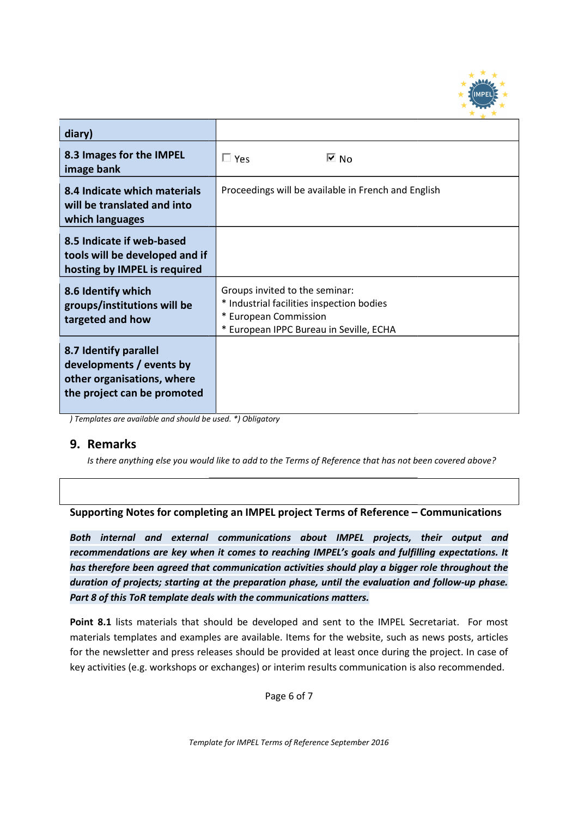

| diary)                                                                                                         |                                                                                                                                                 |
|----------------------------------------------------------------------------------------------------------------|-------------------------------------------------------------------------------------------------------------------------------------------------|
| 8.3 Images for the IMPEL<br>image bank                                                                         | $\Box$ Yes<br>$\overline{\triangleright}$ No                                                                                                    |
| 8.4 Indicate which materials<br>will be translated and into<br>which languages                                 | Proceedings will be available in French and English                                                                                             |
| 8.5 Indicate if web-based<br>tools will be developed and if<br>hosting by IMPEL is required                    |                                                                                                                                                 |
| 8.6 Identify which<br>groups/institutions will be<br>targeted and how                                          | Groups invited to the seminar:<br>* Industrial facilities inspection bodies<br>* European Commission<br>* European IPPC Bureau in Seville, ECHA |
| 8.7 Identify parallel<br>developments / events by<br>other organisations, where<br>the project can be promoted |                                                                                                                                                 |

) Templates are available and should be used. \*) Obligatory

## 9. Remarks

Is there anything else you would like to add to the Terms of Reference that has not been covered above?

## Supporting Notes for completing an IMPEL project Terms of Reference -

Both internal and external communications about IMPEL projects, their output and recommendations are key when it comes to reaching IMPEL's goals and fulfilling expectations. It has therefore been agreed that communication activities should play a bigger ro duration of projects; starting at the preparation phase, until the evaluation and follow-up phase. Part 8 of this ToR template deals with the communications matters. ire key when it comes to reaching IMPEL's goals and fulfil<br>agreed that communication activities should play a bigger<br>i; starting at the preparation phase, until the evaluation a<br>mplate deals with the communications matters porting Notes for completing an IMPEL project Terms of Reference – Communications<br> *h* internal and external communications about IMPEL projects, their output and<br>
pommendations are key when it comes to reaching IMPEL's go role throughout the

Point 8.1 lists materials that should be developed and sent to the IMPEL Secretariat. For most materials templates and examples are available. Items for the website, such as news posts, articles for the newsletter and press releases should be provided at least once during the project. In case of key activities (e.g. workshops or exchanges) or interim results communication is also recommended.

Page 6 of 7